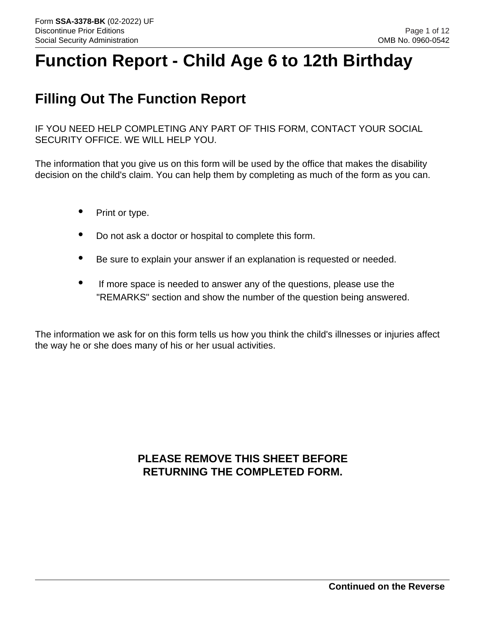# **Function Report - Child Age 6 to 12th Birthday**

## **Filling Out The Function Report**

IF YOU NEED HELP COMPLETING ANY PART OF THIS FORM, CONTACT YOUR SOCIAL SECURITY OFFICE. WE WILL HELP YOU.

The information that you give us on this form will be used by the office that makes the disability decision on the child's claim. You can help them by completing as much of the form as you can.

- Print or type.
- Do not ask a doctor or hospital to complete this form.
- Be sure to explain your answer if an explanation is requested or needed.
- If more space is needed to answer any of the questions, please use the "REMARKS" section and show the number of the question being answered.

The information we ask for on this form tells us how you think the child's illnesses or injuries affect the way he or she does many of his or her usual activities.

## **PLEASE REMOVE THIS SHEET BEFORE RETURNING THE COMPLETED FORM.**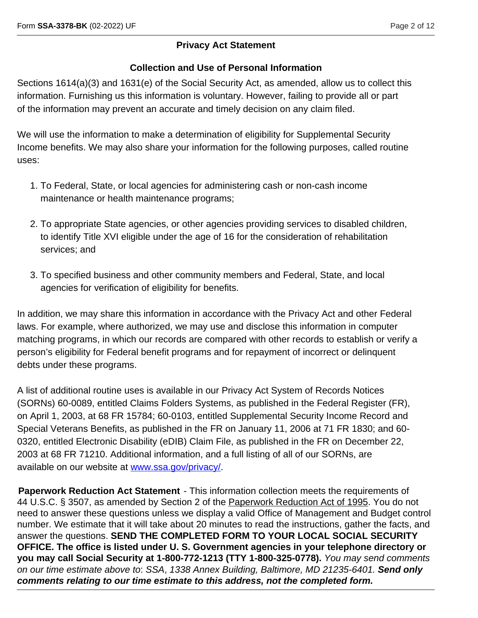#### **Privacy Act Statement**

#### **Collection and Use of Personal Information**

Sections 1614(a)(3) and 1631(e) of the Social Security Act, as amended, allow us to collect this information. Furnishing us this information is voluntary. However, failing to provide all or part of the information may prevent an accurate and timely decision on any claim filed.

We will use the information to make a determination of eligibility for Supplemental Security Income benefits. We may also share your information for the following purposes, called routine uses:

- 1. To Federal, State, or local agencies for administering cash or non-cash income maintenance or health maintenance programs;
- 2. To appropriate State agencies, or other agencies providing services to disabled children, to identify Title XVI eligible under the age of 16 for the consideration of rehabilitation services; and
- 3. To specified business and other community members and Federal, State, and local agencies for verification of eligibility for benefits.

In addition, we may share this information in accordance with the Privacy Act and other Federal laws. For example, where authorized, we may use and disclose this information in computer matching programs, in which our records are compared with other records to establish or verify a person's eligibility for Federal benefit programs and for repayment of incorrect or delinquent debts under these programs.

A list of additional routine uses is available in our Privacy Act System of Records Notices (SORNs) 60-0089, entitled Claims Folders Systems, as published in the Federal Register (FR), on April 1, 2003, at 68 FR 15784; 60-0103, entitled Supplemental Security Income Record and Special Veterans Benefits, as published in the FR on January 11, 2006 at 71 FR 1830; and 60- 0320, entitled Electronic Disability (eDIB) Claim File, as published in the FR on December 22, 2003 at 68 FR 71210. Additional information, and a full listing of all of our SORNs, are available on our website at [www.ssa.gov/privacy/.](www.ssa.gov/privacy/)

**Paperwork Reduction Act Statement** - This information collection meets the requirements of 44 U.S.C. § 3507, as amended by Section 2 of the Paperwork Reduction Act of 1995. You do not need to answer these questions unless we display a valid Office of Management and Budget control number. We estimate that it will take about 20 minutes to read the instructions, gather the facts, and answer the questions. **SEND THE COMPLETED FORM TO YOUR LOCAL SOCIAL SECURITY OFFICE. The office is listed under U. S. Government agencies in your telephone directory or you may call Social Security at 1-800-772-1213 (TTY 1-800-325-0778).** *You may send comments on our time estimate above to*: *SSA*, *1338 Annex Building, Baltimore, MD 21235-6401. Send only comments relating to our time estimate to this address, not the completed form.*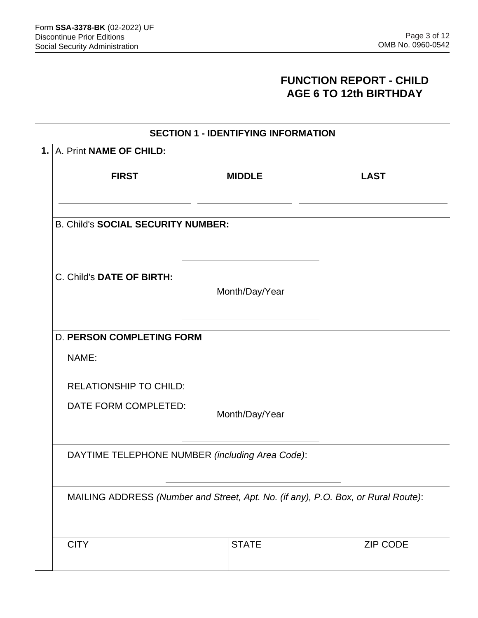### **FUNCTION REPORT - CHILD AGE 6 TO 12th BIRTHDAY**

|                                                                                                                                      | <b>SECTION 1 - IDENTIFYING INFORMATION</b> |                |             |  |  |  |             |              |
|--------------------------------------------------------------------------------------------------------------------------------------|--------------------------------------------|----------------|-------------|--|--|--|-------------|--------------|
|                                                                                                                                      | 1. A. Print NAME OF CHILD:                 |                |             |  |  |  |             |              |
|                                                                                                                                      | <b>FIRST</b>                               | <b>MIDDLE</b>  | <b>LAST</b> |  |  |  |             |              |
|                                                                                                                                      | <b>B. Child's SOCIAL SECURITY NUMBER:</b>  |                |             |  |  |  |             |              |
|                                                                                                                                      | C. Child's DATE OF BIRTH:                  |                |             |  |  |  |             |              |
| Month/Day/Year                                                                                                                       |                                            |                |             |  |  |  |             |              |
|                                                                                                                                      | <b>D. PERSON COMPLETING FORM</b>           |                |             |  |  |  |             |              |
|                                                                                                                                      | NAME:                                      |                |             |  |  |  |             |              |
|                                                                                                                                      | <b>RELATIONSHIP TO CHILD:</b>              |                |             |  |  |  |             |              |
|                                                                                                                                      | DATE FORM COMPLETED:                       | Month/Day/Year |             |  |  |  |             |              |
| DAYTIME TELEPHONE NUMBER (including Area Code):<br>MAILING ADDRESS (Number and Street, Apt. No. (if any), P.O. Box, or Rural Route): |                                            |                |             |  |  |  |             |              |
|                                                                                                                                      |                                            |                |             |  |  |  | <b>CITY</b> | <b>STATE</b> |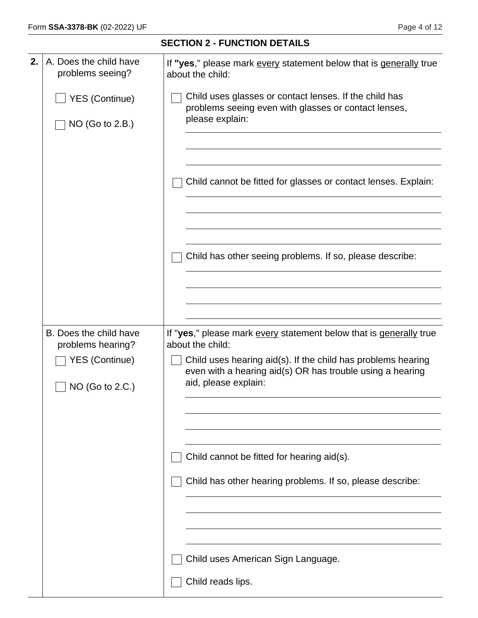| 2. | A. Does the child have<br>problems seeing?  | If "yes," please mark every statement below that is generally true<br>about the child:                                                            |  |  |  |
|----|---------------------------------------------|---------------------------------------------------------------------------------------------------------------------------------------------------|--|--|--|
|    | <b>YES (Continue)</b>                       | Child uses glasses or contact lenses. If the child has<br>problems seeing even with glasses or contact lenses,                                    |  |  |  |
|    | NO (Go to 2.B.)                             | please explain:                                                                                                                                   |  |  |  |
|    |                                             |                                                                                                                                                   |  |  |  |
|    |                                             | Child cannot be fitted for glasses or contact lenses. Explain:                                                                                    |  |  |  |
|    |                                             |                                                                                                                                                   |  |  |  |
|    |                                             | Child has other seeing problems. If so, please describe:                                                                                          |  |  |  |
|    |                                             |                                                                                                                                                   |  |  |  |
|    |                                             |                                                                                                                                                   |  |  |  |
|    |                                             |                                                                                                                                                   |  |  |  |
|    | B. Does the child have<br>problems hearing? | If "yes," please mark every statement below that is generally true<br>about the child:                                                            |  |  |  |
|    | <b>YES (Continue)</b><br>NO (Go to 2.C.)    | Child uses hearing aid(s). If the child has problems hearing<br>even with a hearing aid(s) OR has trouble using a hearing<br>aid, please explain: |  |  |  |
|    |                                             |                                                                                                                                                   |  |  |  |
|    |                                             |                                                                                                                                                   |  |  |  |
|    |                                             | Child cannot be fitted for hearing aid(s).                                                                                                        |  |  |  |
|    |                                             | Child has other hearing problems. If so, please describe:                                                                                         |  |  |  |
|    |                                             |                                                                                                                                                   |  |  |  |
|    |                                             |                                                                                                                                                   |  |  |  |
|    |                                             | Child uses American Sign Language.                                                                                                                |  |  |  |
|    |                                             | Child reads lips.                                                                                                                                 |  |  |  |

**SECTION 2 - FUNCTION DETAILS**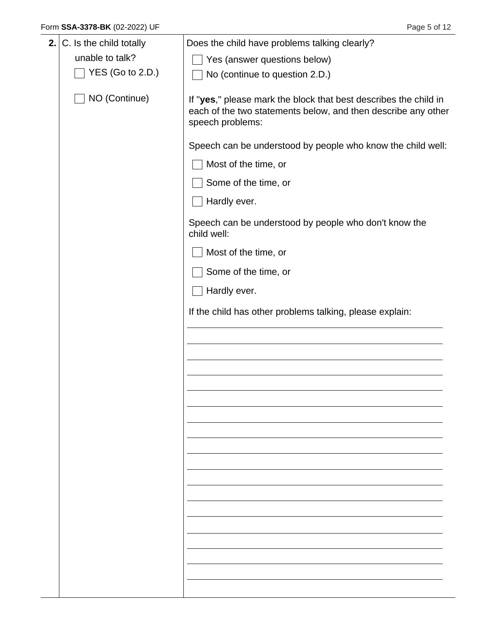| 2. | C. Is the child totally | Does the child have problems talking clearly?                                                                                                         |  |  |
|----|-------------------------|-------------------------------------------------------------------------------------------------------------------------------------------------------|--|--|
|    | unable to talk?         | Yes (answer questions below)                                                                                                                          |  |  |
|    | $YES$ (Go to 2.D.)      | No (continue to question 2.D.)                                                                                                                        |  |  |
|    | NO (Continue)           | If "yes," please mark the block that best describes the child in<br>each of the two statements below, and then describe any other<br>speech problems: |  |  |
|    |                         | Speech can be understood by people who know the child well:                                                                                           |  |  |
|    |                         | Most of the time, or                                                                                                                                  |  |  |
|    |                         | Some of the time, or                                                                                                                                  |  |  |
|    |                         | Hardly ever.                                                                                                                                          |  |  |
|    |                         | Speech can be understood by people who don't know the<br>child well:                                                                                  |  |  |
|    |                         | Most of the time, or                                                                                                                                  |  |  |
|    |                         | Some of the time, or                                                                                                                                  |  |  |
|    |                         | Hardly ever.                                                                                                                                          |  |  |
|    |                         | If the child has other problems talking, please explain:                                                                                              |  |  |
|    |                         |                                                                                                                                                       |  |  |
|    |                         |                                                                                                                                                       |  |  |
|    |                         |                                                                                                                                                       |  |  |
|    |                         |                                                                                                                                                       |  |  |
|    |                         |                                                                                                                                                       |  |  |
|    |                         |                                                                                                                                                       |  |  |
|    |                         |                                                                                                                                                       |  |  |
|    |                         |                                                                                                                                                       |  |  |
|    |                         |                                                                                                                                                       |  |  |
|    |                         |                                                                                                                                                       |  |  |
|    |                         |                                                                                                                                                       |  |  |
|    |                         |                                                                                                                                                       |  |  |
|    |                         |                                                                                                                                                       |  |  |
|    |                         |                                                                                                                                                       |  |  |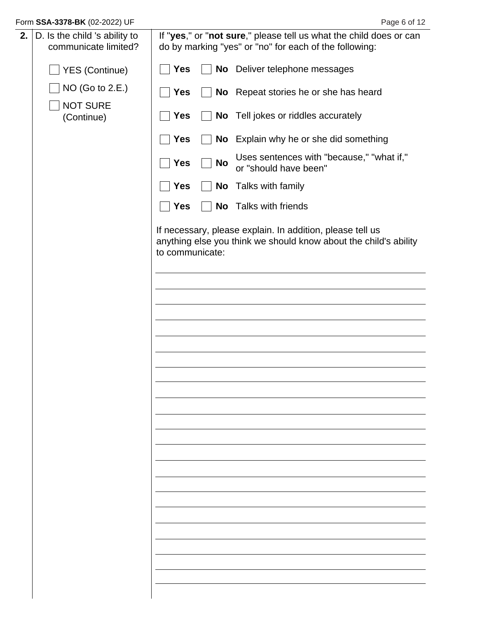| 2. | D. Is the child 's ability to<br>communicate limited? |                 |           | If "yes," or "not sure," please tell us what the child does or can<br>do by marking "yes" or "no" for each of the following:  |
|----|-------------------------------------------------------|-----------------|-----------|-------------------------------------------------------------------------------------------------------------------------------|
|    | <b>YES (Continue)</b>                                 | <b>Yes</b>      |           | No Deliver telephone messages                                                                                                 |
|    | NO (Go to 2.E.)<br><b>NOT SURE</b>                    | <b>Yes</b>      |           | No Repeat stories he or she has heard                                                                                         |
|    | (Continue)                                            | <b>Yes</b>      |           | No Tell jokes or riddles accurately                                                                                           |
|    |                                                       | <b>Yes</b>      |           | No Explain why he or she did something                                                                                        |
|    |                                                       | <b>Yes</b>      | <b>No</b> | Uses sentences with "because," "what if,"<br>or "should have been"                                                            |
|    |                                                       | <b>Yes</b>      |           | No Talks with family                                                                                                          |
|    |                                                       | <b>Yes</b>      |           | <b>No</b> Talks with friends                                                                                                  |
|    |                                                       | to communicate: |           | If necessary, please explain. In addition, please tell us<br>anything else you think we should know about the child's ability |
|    |                                                       |                 |           |                                                                                                                               |
|    |                                                       |                 |           |                                                                                                                               |
|    |                                                       |                 |           |                                                                                                                               |
|    |                                                       |                 |           |                                                                                                                               |
|    |                                                       |                 |           |                                                                                                                               |
|    |                                                       |                 |           |                                                                                                                               |
|    |                                                       |                 |           |                                                                                                                               |
|    |                                                       |                 |           |                                                                                                                               |
|    |                                                       |                 |           |                                                                                                                               |
|    |                                                       |                 |           |                                                                                                                               |
|    |                                                       |                 |           |                                                                                                                               |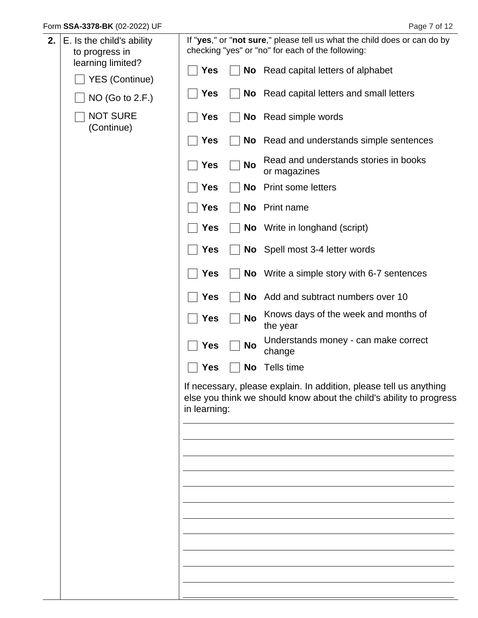| 2. | E. Is the child's ability<br>to progress in |              |           | If "yes," or "not sure," please tell us what the child does or can do by<br>checking "yes" or "no" for each of the following:             |
|----|---------------------------------------------|--------------|-----------|-------------------------------------------------------------------------------------------------------------------------------------------|
|    | learning limited?<br><b>YES (Continue)</b>  | Yes          |           | No Read capital letters of alphabet                                                                                                       |
|    | NO (Go to 2.F.)                             | <b>Yes</b>   |           | No Read capital letters and small letters                                                                                                 |
|    | <b>NOT SURE</b><br>(Continue)               | <b>Yes</b>   |           | <b>No</b> Read simple words                                                                                                               |
|    |                                             | <b>Yes</b>   |           | No Read and understands simple sentences                                                                                                  |
|    |                                             | <b>Yes</b>   | <b>No</b> | Read and understands stories in books<br>or magazines                                                                                     |
|    |                                             | <b>Yes</b>   | <b>No</b> | <b>Print some letters</b>                                                                                                                 |
|    |                                             | <b>Yes</b>   | No        | Print name                                                                                                                                |
|    |                                             | <b>Yes</b>   |           | <b>No</b> Write in longhand (script)                                                                                                      |
|    |                                             | <b>Yes</b>   |           | No Spell most 3-4 letter words                                                                                                            |
|    |                                             | <b>Yes</b>   |           | No Write a simple story with 6-7 sentences                                                                                                |
|    |                                             | <b>Yes</b>   |           | No Add and subtract numbers over 10                                                                                                       |
|    |                                             | <b>Yes</b>   | <b>No</b> | Knows days of the week and months of<br>the year                                                                                          |
|    |                                             | <b>Yes</b>   | No        | Understands money - can make correct<br>change                                                                                            |
|    |                                             | <b>Yes</b>   |           | No Tells time                                                                                                                             |
|    |                                             | in learning: |           | If necessary, please explain. In addition, please tell us anything<br>else you think we should know about the child's ability to progress |
|    |                                             |              |           |                                                                                                                                           |
|    |                                             |              |           |                                                                                                                                           |
|    |                                             |              |           |                                                                                                                                           |
|    |                                             |              |           |                                                                                                                                           |
|    |                                             |              |           |                                                                                                                                           |
|    |                                             |              |           |                                                                                                                                           |
|    |                                             |              |           |                                                                                                                                           |
|    |                                             |              |           |                                                                                                                                           |
|    |                                             |              |           |                                                                                                                                           |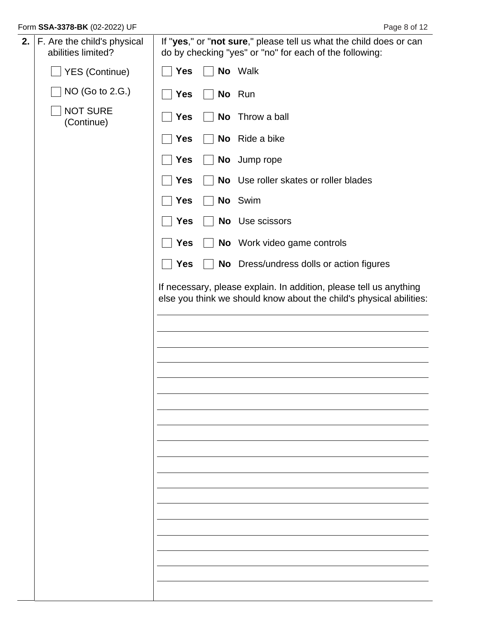| 2. | F. Are the child's physical<br>abilities limited? |            | If "yes," or "not sure," please tell us what the child does or can<br>do by checking "yes" or "no" for each of the following:             |
|----|---------------------------------------------------|------------|-------------------------------------------------------------------------------------------------------------------------------------------|
|    | △ YES (Continue)                                  | Yes        | No Walk                                                                                                                                   |
|    | NO (Go to 2.G.)                                   | <b>Yes</b> | No Run                                                                                                                                    |
|    | <b>NOT SURE</b><br>(Continue)                     | Yes        | No Throw a ball                                                                                                                           |
|    |                                                   | Yes        | No Ride a bike                                                                                                                            |
|    |                                                   | <b>Yes</b> | No Jump rope                                                                                                                              |
|    |                                                   | <b>Yes</b> | No Use roller skates or roller blades                                                                                                     |
|    |                                                   | <b>Yes</b> | No Swim                                                                                                                                   |
|    |                                                   | <b>Yes</b> | No Use scissors                                                                                                                           |
|    |                                                   | <b>Yes</b> | No Work video game controls                                                                                                               |
|    |                                                   | <b>Yes</b> | No Dress/undress dolls or action figures                                                                                                  |
|    |                                                   |            | If necessary, please explain. In addition, please tell us anything<br>else you think we should know about the child's physical abilities: |
|    |                                                   |            |                                                                                                                                           |
|    |                                                   |            |                                                                                                                                           |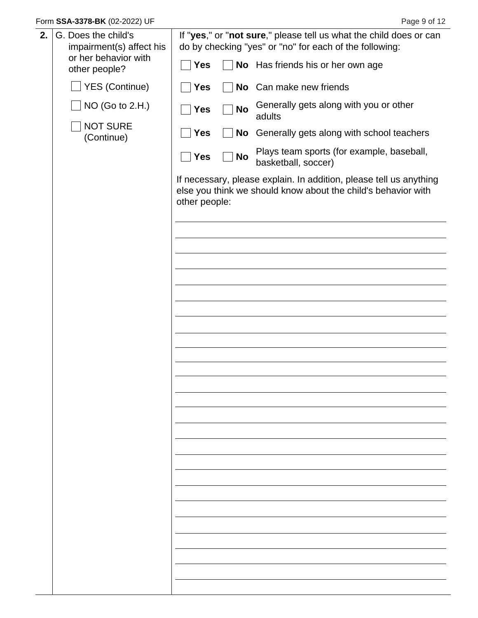| 2. | G. Does the child's<br>impairment(s) affect his | If "yes," or "not sure," please tell us what the child does or can<br>do by checking "yes" or "no" for each of the following:                        |
|----|-------------------------------------------------|------------------------------------------------------------------------------------------------------------------------------------------------------|
|    | or her behavior with<br>other people?           | <b>Yes</b><br>No Has friends his or her own age                                                                                                      |
|    | <b>YES (Continue)</b>                           | No Can make new friends<br><b>Yes</b>                                                                                                                |
|    | NO (Go to 2.H.)                                 | Generally gets along with you or other<br><b>No</b><br><b>Yes</b><br>adults                                                                          |
|    | <b>NOT SURE</b><br>(Continue)                   | <b>Yes</b><br>No Generally gets along with school teachers                                                                                           |
|    |                                                 | Plays team sports (for example, baseball,<br><b>Yes</b><br><b>No</b><br>basketball, soccer)                                                          |
|    |                                                 | If necessary, please explain. In addition, please tell us anything<br>else you think we should know about the child's behavior with<br>other people: |
|    |                                                 |                                                                                                                                                      |
|    |                                                 |                                                                                                                                                      |
|    |                                                 |                                                                                                                                                      |
|    |                                                 |                                                                                                                                                      |
|    |                                                 |                                                                                                                                                      |
|    |                                                 |                                                                                                                                                      |
|    |                                                 |                                                                                                                                                      |
|    |                                                 |                                                                                                                                                      |
|    |                                                 |                                                                                                                                                      |
|    |                                                 |                                                                                                                                                      |
|    |                                                 |                                                                                                                                                      |
|    |                                                 |                                                                                                                                                      |
|    |                                                 |                                                                                                                                                      |
|    |                                                 |                                                                                                                                                      |
|    |                                                 |                                                                                                                                                      |
|    |                                                 |                                                                                                                                                      |
|    |                                                 |                                                                                                                                                      |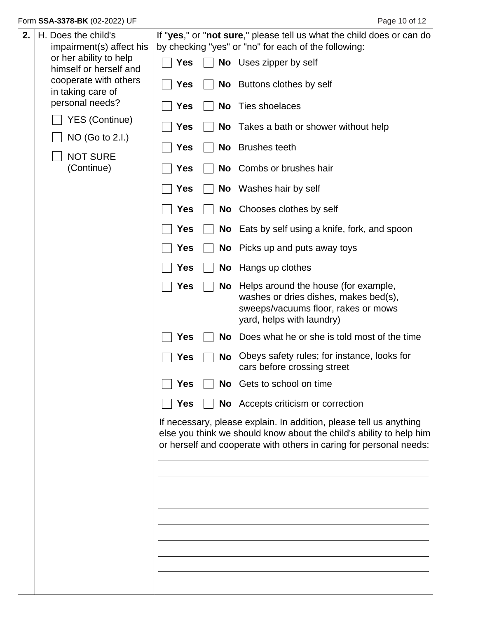| 2. | H. Does the child's<br>impairment(s) affect his  | If "yes," or "not sure," please tell us what the child does or can do<br>by checking "yes" or "no" for each of the following: |    |                                                                                                                                                                                                                 |  |
|----|--------------------------------------------------|-------------------------------------------------------------------------------------------------------------------------------|----|-----------------------------------------------------------------------------------------------------------------------------------------------------------------------------------------------------------------|--|
|    | or her ability to help<br>himself or herself and | <b>Yes</b>                                                                                                                    |    | No Uses zipper by self                                                                                                                                                                                          |  |
|    | cooperate with others<br>in taking care of       | <b>Yes</b>                                                                                                                    |    | No Buttons clothes by self                                                                                                                                                                                      |  |
|    | personal needs?                                  | <b>Yes</b>                                                                                                                    | No | Ties shoelaces                                                                                                                                                                                                  |  |
|    | <b>YES (Continue)</b>                            | <b>Yes</b>                                                                                                                    |    | No Takes a bath or shower without help                                                                                                                                                                          |  |
|    | NO (Go to 2.I.)<br><b>NOT SURE</b>               | <b>Yes</b>                                                                                                                    |    | No Brushes teeth                                                                                                                                                                                                |  |
|    | (Continue)                                       | <b>Yes</b>                                                                                                                    |    | No Combs or brushes hair                                                                                                                                                                                        |  |
|    |                                                  | <b>Yes</b>                                                                                                                    |    | No Washes hair by self                                                                                                                                                                                          |  |
|    |                                                  | <b>Yes</b>                                                                                                                    |    | No Chooses clothes by self                                                                                                                                                                                      |  |
|    |                                                  | <b>Yes</b>                                                                                                                    |    | No Eats by self using a knife, fork, and spoon                                                                                                                                                                  |  |
|    |                                                  | <b>Yes</b>                                                                                                                    |    | No Picks up and puts away toys                                                                                                                                                                                  |  |
|    |                                                  | <b>Yes</b>                                                                                                                    |    | No Hangs up clothes                                                                                                                                                                                             |  |
|    |                                                  | <b>Yes</b>                                                                                                                    | No | Helps around the house (for example,<br>washes or dries dishes, makes bed(s),<br>sweeps/vacuums floor, rakes or mows<br>yard, helps with laundry)                                                               |  |
|    |                                                  | <b>Yes</b>                                                                                                                    | No | Does what he or she is told most of the time                                                                                                                                                                    |  |
|    |                                                  | Yes                                                                                                                           | No | Obeys safety rules; for instance, looks for<br>cars before crossing street                                                                                                                                      |  |
|    |                                                  | <b>Yes</b>                                                                                                                    |    | No Gets to school on time                                                                                                                                                                                       |  |
|    |                                                  | <b>Yes</b>                                                                                                                    |    | No Accepts criticism or correction                                                                                                                                                                              |  |
|    |                                                  |                                                                                                                               |    | If necessary, please explain. In addition, please tell us anything<br>else you think we should know about the child's ability to help him<br>or herself and cooperate with others in caring for personal needs: |  |
|    |                                                  |                                                                                                                               |    |                                                                                                                                                                                                                 |  |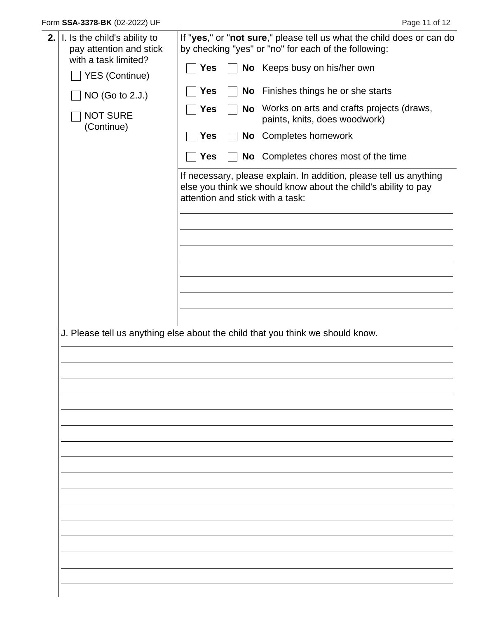| 2. | I. Is the child's ability to<br>pay attention and stick<br>with a task limited?<br><b>YES (Continue)</b><br>NO (Go to 2.J.)<br><b>NOT SURE</b><br>(Continue) | <b>Yes</b><br><b>Yes</b><br><b>Yes</b><br><b>Yes</b><br><b>Yes</b> | <b>No</b> | If "yes," or "not sure," please tell us what the child does or can do<br>by checking "yes" or "no" for each of the following:<br>No Keeps busy on his/her own<br>No Finishes things he or she starts<br>Works on arts and crafts projects (draws,<br>paints, knits, does woodwork)<br>No Completes homework<br>No Completes chores most of the time |
|----|--------------------------------------------------------------------------------------------------------------------------------------------------------------|--------------------------------------------------------------------|-----------|-----------------------------------------------------------------------------------------------------------------------------------------------------------------------------------------------------------------------------------------------------------------------------------------------------------------------------------------------------|
|    |                                                                                                                                                              |                                                                    |           | If necessary, please explain. In addition, please tell us anything<br>else you think we should know about the child's ability to pay<br>attention and stick with a task:                                                                                                                                                                            |
|    |                                                                                                                                                              |                                                                    |           | J. Please tell us anything else about the child that you think we should know.                                                                                                                                                                                                                                                                      |
|    |                                                                                                                                                              |                                                                    |           |                                                                                                                                                                                                                                                                                                                                                     |